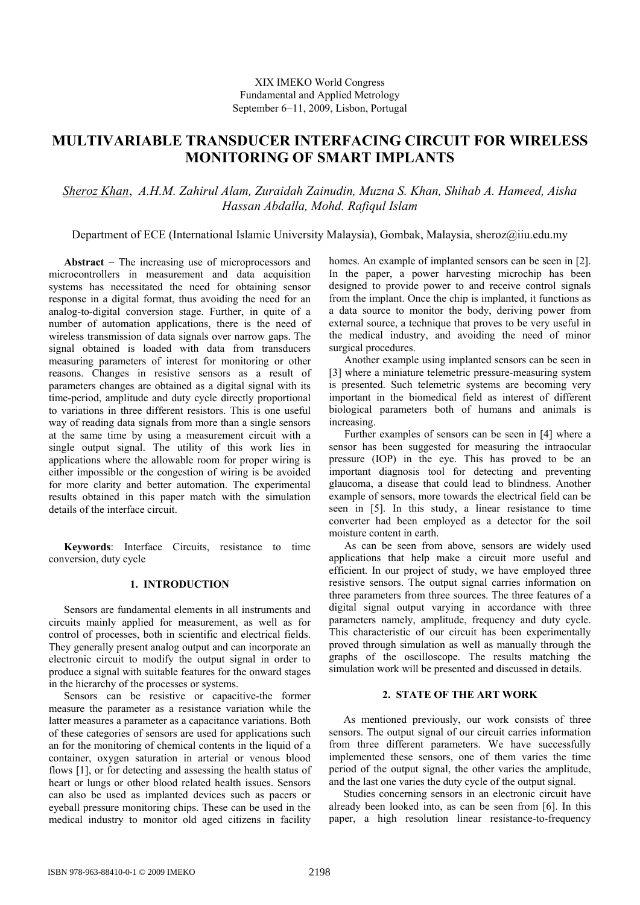# **MULTIVARIABLE TRANSDUCER INTERFACING CIRCUIT FOR WIRELESS MONITORING OF SMART IMPLANTS**

## *Sheroz Khan*, *A.H.M. Zahirul Alam, Zuraidah Zainudin, Muzna S. Khan, Shihab A. Hameed, Aisha Hassan Abdalla, Mohd. Rafiqul Islam*

Department of ECE (International Islamic University Malaysia), Gombak, Malaysia, sheroz@iiu.edu.my

**Abstract** − The increasing use of microprocessors and microcontrollers in measurement and data acquisition systems has necessitated the need for obtaining sensor response in a digital format, thus avoiding the need for an analog-to-digital conversion stage. Further, in quite of a number of automation applications, there is the need of wireless transmission of data signals over narrow gaps. The signal obtained is loaded with data from transducers measuring parameters of interest for monitoring or other reasons. Changes in resistive sensors as a result of parameters changes are obtained as a digital signal with its time-period, amplitude and duty cycle directly proportional to variations in three different resistors. This is one useful way of reading data signals from more than a single sensors at the same time by using a measurement circuit with a single output signal. The utility of this work lies in applications where the allowable room for proper wiring is either impossible or the congestion of wiring is be avoided for more clarity and better automation. The experimental results obtained in this paper match with the simulation details of the interface circuit.

**Keywords**: Interface Circuits, resistance to time conversion, duty cycle

## **1. INTRODUCTION**

 Sensors are fundamental elements in all instruments and circuits mainly applied for measurement, as well as for control of processes, both in scientific and electrical fields. They generally present analog output and can incorporate an electronic circuit to modify the output signal in order to produce a signal with suitable features for the onward stages in the hierarchy of the processes or systems.

Sensors can be resistive or capacitive-the former measure the parameter as a resistance variation while the latter measures a parameter as a capacitance variations. Both of these categories of sensors are used for applications such an for the monitoring of chemical contents in the liquid of a container, oxygen saturation in arterial or venous blood flows [1], or for detecting and assessing the health status of heart or lungs or other blood related health issues. Sensors can also be used as implanted devices such as pacers or eyeball pressure monitoring chips. These can be used in the medical industry to monitor old aged citizens in facility homes. An example of implanted sensors can be seen in [2]. In the paper, a power harvesting microchip has been designed to provide power to and receive control signals from the implant. Once the chip is implanted, it functions as a data source to monitor the body, deriving power from external source, a technique that proves to be very useful in the medical industry, and avoiding the need of minor surgical procedures.

Another example using implanted sensors can be seen in [3] where a miniature telemetric pressure-measuring system is presented. Such telemetric systems are becoming very important in the biomedical field as interest of different biological parameters both of humans and animals is increasing.

Further examples of sensors can be seen in [4] where a sensor has been suggested for measuring the intraocular pressure (IOP) in the eye. This has proved to be an important diagnosis tool for detecting and preventing glaucoma, a disease that could lead to blindness. Another example of sensors, more towards the electrical field can be seen in [5]. In this study, a linear resistance to time converter had been employed as a detector for the soil moisture content in earth.

As can be seen from above, sensors are widely used applications that help make a circuit more useful and efficient. In our project of study, we have employed three resistive sensors. The output signal carries information on three parameters from three sources. The three features of a digital signal output varying in accordance with three parameters namely, amplitude, frequency and duty cycle. This characteristic of our circuit has been experimentally proved through simulation as well as manually through the graphs of the oscilloscope. The results matching the simulation work will be presented and discussed in details.

## **2. STATE OF THE ART WORK**

As mentioned previously, our work consists of three sensors. The output signal of our circuit carries information from three different parameters. We have successfully implemented these sensors, one of them varies the time period of the output signal, the other varies the amplitude, and the last one varies the duty cycle of the output signal.

Studies concerning sensors in an electronic circuit have already been looked into, as can be seen from [6]. In this paper, a high resolution linear resistance-to-frequency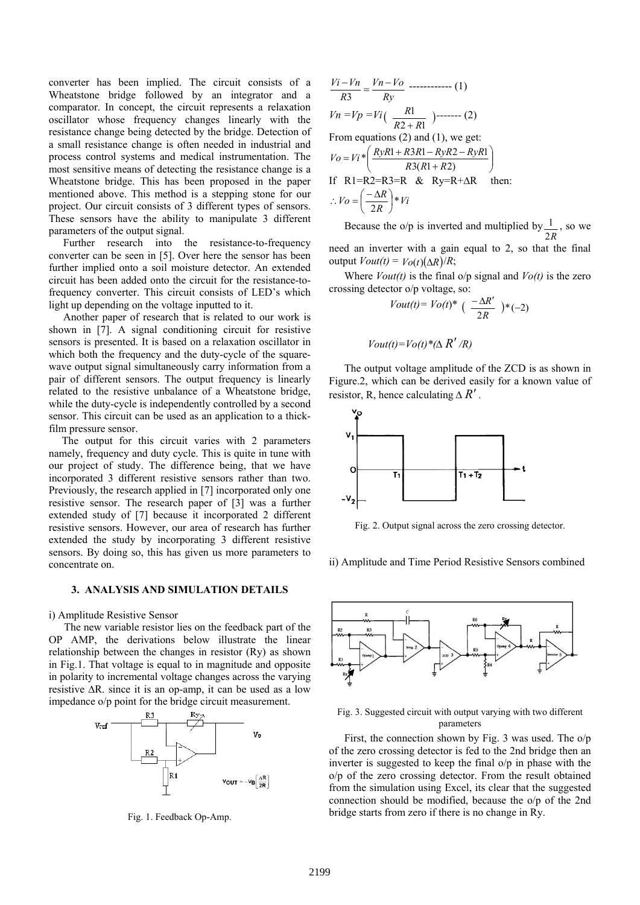converter has been implied. The circuit consists of a Wheatstone bridge followed by an integrator and a comparator. In concept, the circuit represents a relaxation oscillator whose frequency changes linearly with the resistance change being detected by the bridge. Detection of a small resistance change is often needed in industrial and process control systems and medical instrumentation. The most sensitive means of detecting the resistance change is a Wheatstone bridge. This has been proposed in the paper mentioned above. This method is a stepping stone for our project. Our circuit consists of 3 different types of sensors. These sensors have the ability to manipulate 3 different parameters of the output signal.

Further research into the resistance-to-frequency converter can be seen in [5]. Over here the sensor has been further implied onto a soil moisture detector. An extended circuit has been added onto the circuit for the resistance-tofrequency converter. This circuit consists of LED's which light up depending on the voltage inputted to it.

Another paper of research that is related to our work is shown in [7]. A signal conditioning circuit for resistive sensors is presented. It is based on a relaxation oscillator in which both the frequency and the duty-cycle of the squarewave output signal simultaneously carry information from a pair of different sensors. The output frequency is linearly related to the resistive unbalance of a Wheatstone bridge, while the duty-cycle is independently controlled by a second sensor. This circuit can be used as an application to a thickfilm pressure sensor.

The output for this circuit varies with 2 parameters namely, frequency and duty cycle. This is quite in tune with our project of study. The difference being, that we have incorporated 3 different resistive sensors rather than two. Previously, the research applied in [7] incorporated only one resistive sensor. The research paper of [3] was a further extended study of [7] because it incorporated 2 different resistive sensors. However, our area of research has further extended the study by incorporating 3 different resistive sensors. By doing so, this has given us more parameters to concentrate on.

#### **3. ANALYSIS AND SIMULATION DETAILS**

i) Amplitude Resistive Sensor

The new variable resistor lies on the feedback part of the OP AMP, the derivations below illustrate the linear relationship between the changes in resistor (Ry) as shown in Fig.1. That voltage is equal to in magnitude and opposite in polarity to incremental voltage changes across the varying resistive ∆R. since it is an op-amp, it can be used as a low impedance o/p point for the bridge circuit measurement.



Fig. 1. Feedback Op-Amp.

$$
\frac{Vi - Vn}{R3} = \frac{Vn - Vo}{Ry}
$$
........(1)  
\n
$$
Vn = Vp = Vi\left(\frac{R1}{R2 + R1}\right)
$$
........(2)  
\nFrom equations (2) and (1), we get:  
\n
$$
Vo = Vi^* \left(\frac{RyR1 + R3R1 - RyR2 - RyR1}{R3(R1 + R2)}\right)
$$
  
\nIf R1=R2=R3=R & Ry=R+AR then:  
\n
$$
\therefore Vo = \left(\frac{-\Delta R}{2R}\right)^* Vi
$$

Because the o/p is inverted and multiplied by 2*R*  $\frac{1}{\sqrt{2}}$ , so we need an inverter with a gain equal to 2, so that the final

output *Vout(t)* = *Vo*(*t*)(Δ*R*)/*R*;

Where  $Vout(t)$  is the final  $o/p$  signal and  $Vo(t)$  is the zero crossing detector o/p voltage, so:

$$
Vout(t) = Vo(t)^* \left( \frac{-\Delta R'}{2R} \right) * (-2)
$$

$$
Vout(t)=Vo(t)*(\Delta R'/R)
$$

The output voltage amplitude of the ZCD is as shown in Figure.2, which can be derived easily for a known value of resistor, R, hence calculating  $\Delta R'$ .



Fig. 2. Output signal across the zero crossing detector.

ii) Amplitude and Time Period Resistive Sensors combined



Fig. 3. Suggested circuit with output varying with two different parameters

First, the connection shown by Fig. 3 was used. The o/p of the zero crossing detector is fed to the 2nd bridge then an inverter is suggested to keep the final o/p in phase with the o/p of the zero crossing detector. From the result obtained from the simulation using Excel, its clear that the suggested connection should be modified, because the o/p of the 2nd bridge starts from zero if there is no change in Ry.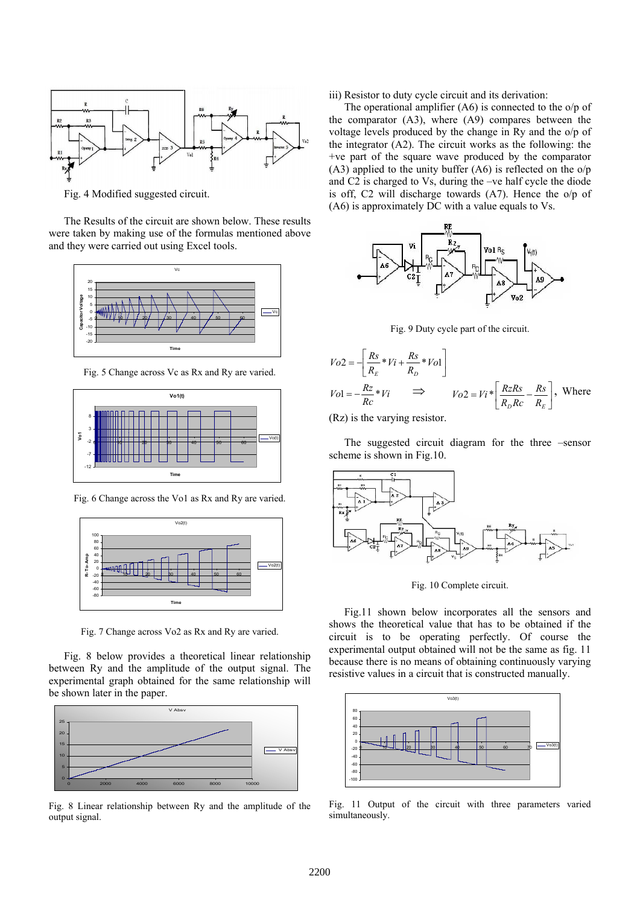

Fig. 4 Modified suggested circuit.

The Results of the circuit are shown below. These results were taken by making use of the formulas mentioned above and they were carried out using Excel tools.



Fig. 5 Change across Vc as Rx and Ry are varied.



Fig. 6 Change across the Vo1 as Rx and Ry are varied.



Fig. 7 Change across Vo2 as Rx and Ry are varied.

Fig. 8 below provides a theoretical linear relationship between Ry and the amplitude of the output signal. The experimental graph obtained for the same relationship will be shown later in the paper.



Fig. 8 Linear relationship between Ry and the amplitude of the output signal.

#### iii) Resistor to duty cycle circuit and its derivation:

The operational amplifier (A6) is connected to the o/p of the comparator (A3), where (A9) compares between the voltage levels produced by the change in Ry and the o/p of the integrator (A2). The circuit works as the following: the +ve part of the square wave produced by the comparator  $(A3)$  applied to the unity buffer  $(A6)$  is reflected on the o/p and C2 is charged to Vs, during the –ve half cycle the diode is off, C2 will discharge towards (A7). Hence the o/p of (A6) is approximately DC with a value equals to Vs.



Fig. 9 Duty cycle part of the circuit.

$$
V_{O2} = -\left[\frac{Rs}{R_E} * Vi + \frac{Rs}{R_D} * Vol\right]
$$
  
\n
$$
Vol = -\frac{R_Z}{R_C} * Vi \implies \qquad V_{O2} = Vi * \left[\frac{RzRs}{R_D R_C} - \frac{Rs}{R_E}\right], \text{ Where}
$$

(Rz) is the varying resistor.

The suggested circuit diagram for the three –sensor scheme is shown in Fig.10.



Fig. 10 Complete circuit.

Fig.11 shown below incorporates all the sensors and shows the theoretical value that has to be obtained if the circuit is to be operating perfectly. Of course the experimental output obtained will not be the same as fig. 11 because there is no means of obtaining continuously varying resistive values in a circuit that is constructed manually.



Fig. 11 Output of the circuit with three parameters varied simultaneously.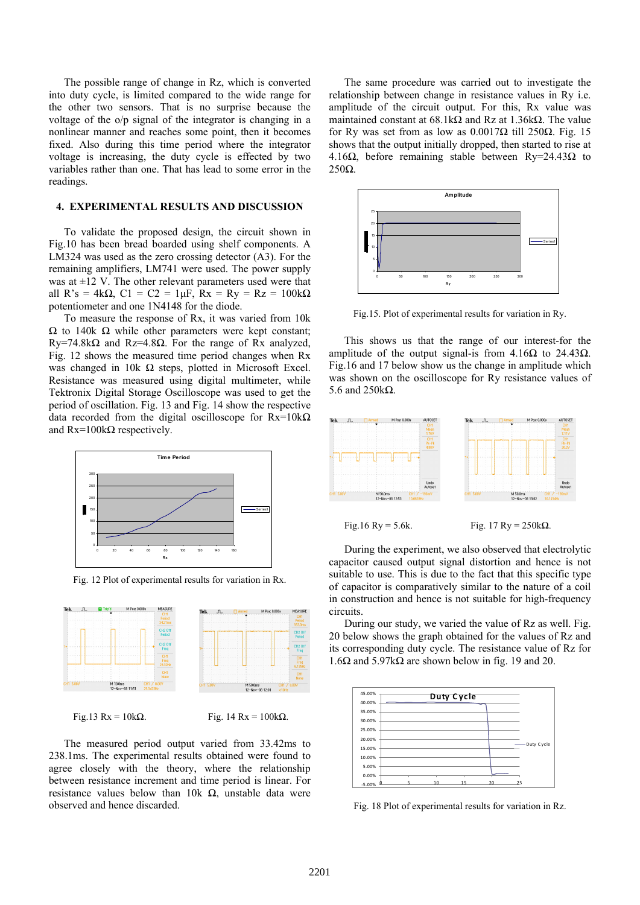The possible range of change in Rz, which is converted into duty cycle, is limited compared to the wide range for the other two sensors. That is no surprise because the voltage of the o/p signal of the integrator is changing in a nonlinear manner and reaches some point, then it becomes fixed. Also during this time period where the integrator voltage is increasing, the duty cycle is effected by two variables rather than one. That has lead to some error in the readings.

#### **4. EXPERIMENTAL RESULTS AND DISCUSSION**

To validate the proposed design, the circuit shown in Fig.10 has been bread boarded using shelf components. A LM324 was used as the zero crossing detector (A3). For the remaining amplifiers, LM741 were used. The power supply was at  $\pm 12$  V. The other relevant parameters used were that all R's = 4kΩ, C1 = C2 = 1μF, Rx = Ry = Rz = 100kΩ potentiometer and one 1N4148 for the diode.

To measure the response of Rx, it was varied from 10k Ω to 140k Ω while other parameters were kept constant; Ry=74.8k $\Omega$  and Rz=4.8 $\Omega$ . For the range of Rx analyzed, Fig. 12 shows the measured time period changes when Rx was changed in 10k Ω steps, plotted in Microsoft Excel. Resistance was measured using digital multimeter, while Tektronix Digital Storage Oscilloscope was used to get the period of oscillation. Fig. 13 and Fig. 14 show the respective data recorded from the digital oscilloscope for  $Rx=10k\Omega$ and  $Rx=100k\Omega$  respectively.



Fig. 12 Plot of experimental results for variation in Rx.



Fig. 13 Rx = 10kΩ. Fig. 14 Rx = 100kΩ.

The measured period output varied from 33.42ms to 238.1ms. The experimental results obtained were found to agree closely with the theory, where the relationship between resistance increment and time period is linear. For resistance values below than 10k  $\Omega$ , unstable data were observed and hence discarded.

The same procedure was carried out to investigate the relationship between change in resistance values in Ry i.e. amplitude of the circuit output. For this, Rx value was maintained constant at  $68.1\text{k}\Omega$  and Rz at  $1.36\text{k}\Omega$ . The value for Ry was set from as low as 0.0017Ω till 250Ω. Fig. 15 shows that the output initially dropped, then started to rise at 4.16 $\Omega$ , before remaining stable between Ry=24.43 $\Omega$  to 250Ω.



Fig.15. Plot of experimental results for variation in Ry.

This shows us that the range of our interest-for the amplitude of the output signal-is from 4.16Ω to 24.43Ω. Fig.16 and 17 below show us the change in amplitude which was shown on the oscilloscope for Ry resistance values of 5.6 and 250kΩ.



During the experiment, we also observed that electrolytic capacitor caused output signal distortion and hence is not suitable to use. This is due to the fact that this specific type of capacitor is comparatively similar to the nature of a coil in construction and hence is not suitable for high-frequency circuits.

During our study, we varied the value of Rz as well. Fig. 20 below shows the graph obtained for the values of Rz and its corresponding duty cycle. The resistance value of Rz for 1.6Ω and 5.97kΩ are shown below in fig. 19 and 20.



Fig. 18 Plot of experimental results for variation in Rz.